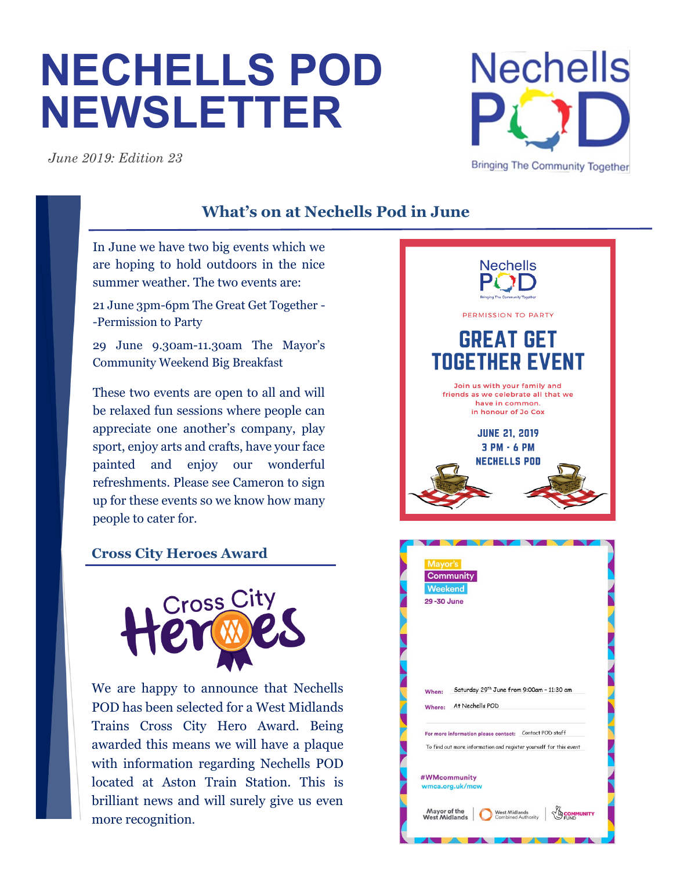# **NECHELLS POD NEWSLETTER**

*June 2019: Edition 23*

# **What's on at Nechells Pod in June**

In June we have two big events which we are hoping to hold outdoors in the nice summer weather. The two events are:

21 June 3pm-6pm The Great Get Together - -Permission to Party

29 June 9.30am-11.30am The Mayor's Community Weekend Big Breakfast

These two events are open to all and will be relaxed fun sessions where people can appreciate one another's company, play sport, enjoy arts and crafts, have your face painted and enjoy our wonderful refreshments. Please see Cameron to sign up for these events so we know how many people to cater for.

# **Cross City Heroes Award**



We are happy to announce that Nechells POD has been selected for a West Midlands Trains Cross City Hero Award. Being awarded this means we will have a plaque with information regarding Nechells POD located at Aston Train Station. This is brilliant news and will surely give us even more recognition.



**Nechells** 

**Bringing The Community Together**